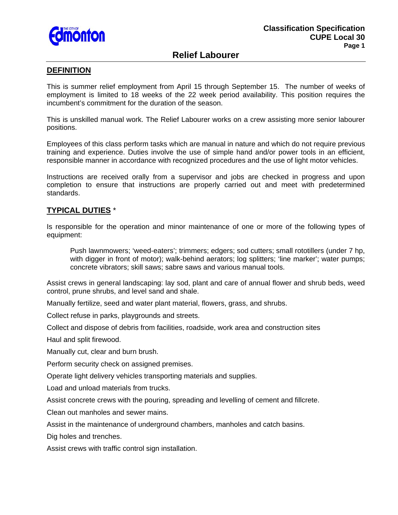

# **Relief Labourer**

#### **DEFINITION**

This is summer relief employment from April 15 through September 15. The number of weeks of employment is limited to 18 weeks of the 22 week period availability. This position requires the incumbent's commitment for the duration of the season.

This is unskilled manual work. The Relief Labourer works on a crew assisting more senior labourer positions.

Employees of this class perform tasks which are manual in nature and which do not require previous training and experience. Duties involve the use of simple hand and/or power tools in an efficient, responsible manner in accordance with recognized procedures and the use of light motor vehicles.

Instructions are received orally from a supervisor and jobs are checked in progress and upon completion to ensure that instructions are properly carried out and meet with predetermined standards.

### **TYPICAL DUTIES** \*

Is responsible for the operation and minor maintenance of one or more of the following types of equipment:

Push lawnmowers; 'weed-eaters'; trimmers; edgers; sod cutters; small rototillers (under 7 hp, with digger in front of motor); walk-behind aerators; log splitters; 'line marker'; water pumps; concrete vibrators; skill saws; sabre saws and various manual tools.

Assist crews in general landscaping: lay sod, plant and care of annual flower and shrub beds, weed control, prune shrubs, and level sand and shale.

Manually fertilize, seed and water plant material, flowers, grass, and shrubs.

Collect refuse in parks, playgrounds and streets.

Collect and dispose of debris from facilities, roadside, work area and construction sites

Haul and split firewood.

Manually cut, clear and burn brush.

Perform security check on assigned premises.

Operate light delivery vehicles transporting materials and supplies.

Load and unload materials from trucks.

Assist concrete crews with the pouring, spreading and levelling of cement and fillcrete.

Clean out manholes and sewer mains.

Assist in the maintenance of underground chambers, manholes and catch basins.

Dig holes and trenches.

Assist crews with traffic control sign installation.